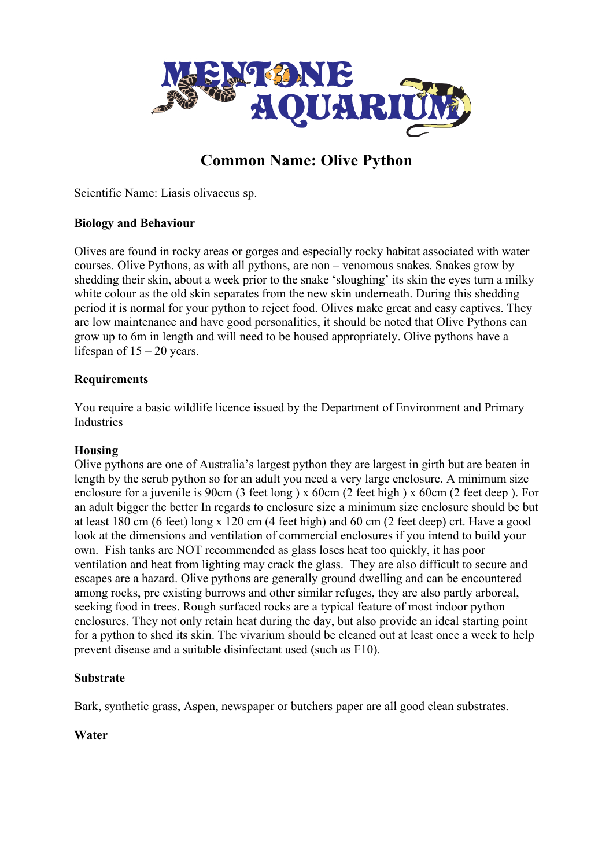

# **Common Name: Olive Python**

Scientific Name: Liasis olivaceus sp.

## **Biology and Behaviour**

Olives are found in rocky areas or gorges and especially rocky habitat associated with water courses. Olive Pythons, as with all pythons, are non – venomous snakes. Snakes grow by shedding their skin, about a week prior to the snake 'sloughing' its skin the eyes turn a milky white colour as the old skin separates from the new skin underneath. During this shedding period it is normal for your python to reject food. Olives make great and easy captives. They are low maintenance and have good personalities, it should be noted that Olive Pythons can grow up to 6m in length and will need to be housed appropriately. Olive pythons have a lifespan of  $15 - 20$  years.

### **Requirements**

You require a basic wildlife licence issued by the Department of Environment and Primary Industries

# **Housing**

Olive pythons are one of Australia's largest python they are largest in girth but are beaten in length by the scrub python so for an adult you need a very large enclosure. A minimum size enclosure for a juvenile is 90cm (3 feet long ) x 60cm (2 feet high ) x 60cm (2 feet deep ). For an adult bigger the better In regards to enclosure size a minimum size enclosure should be but at least 180 cm (6 feet) long x 120 cm (4 feet high) and 60 cm (2 feet deep) crt. Have a good look at the dimensions and ventilation of commercial enclosures if you intend to build your own. Fish tanks are NOT recommended as glass loses heat too quickly, it has poor ventilation and heat from lighting may crack the glass. They are also difficult to secure and escapes are a hazard. Olive pythons are generally ground dwelling and can be encountered among rocks, pre existing burrows and other similar refuges, they are also partly arboreal, seeking food in trees. Rough surfaced rocks are a typical feature of most indoor python enclosures. They not only retain heat during the day, but also provide an ideal starting point for a python to shed its skin. The vivarium should be cleaned out at least once a week to help prevent disease and a suitable disinfectant used (such as F10).

#### **Substrate**

Bark, synthetic grass, Aspen, newspaper or butchers paper are all good clean substrates.

# **Water**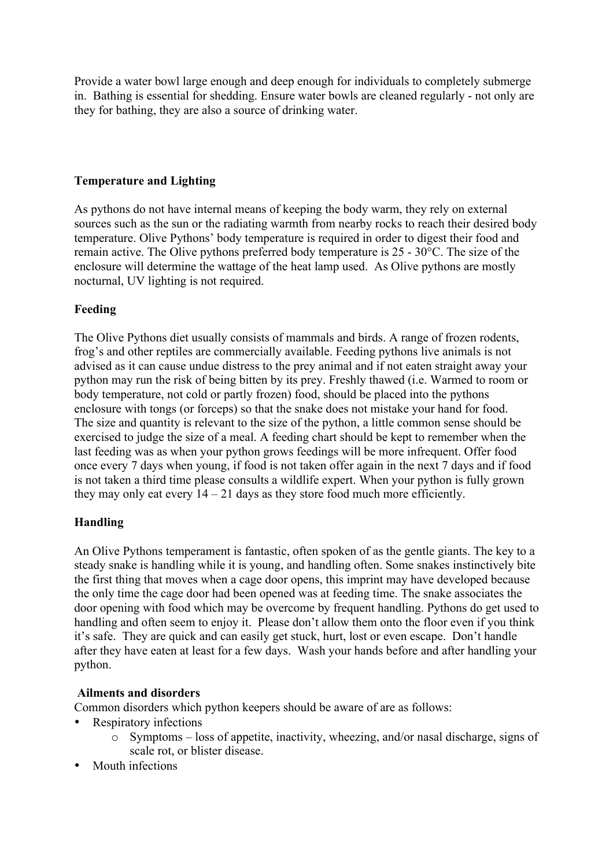Provide a water bowl large enough and deep enough for individuals to completely submerge in. Bathing is essential for shedding. Ensure water bowls are cleaned regularly - not only are they for bathing, they are also a source of drinking water.

## **Temperature and Lighting**

As pythons do not have internal means of keeping the body warm, they rely on external sources such as the sun or the radiating warmth from nearby rocks to reach their desired body temperature. Olive Pythons' body temperature is required in order to digest their food and remain active. The Olive pythons preferred body temperature is 25 - 30°C. The size of the enclosure will determine the wattage of the heat lamp used. As Olive pythons are mostly nocturnal, UV lighting is not required.

# **Feeding**

The Olive Pythons diet usually consists of mammals and birds. A range of frozen rodents, frog's and other reptiles are commercially available. Feeding pythons live animals is not advised as it can cause undue distress to the prey animal and if not eaten straight away your python may run the risk of being bitten by its prey. Freshly thawed (i.e. Warmed to room or body temperature, not cold or partly frozen) food, should be placed into the pythons enclosure with tongs (or forceps) so that the snake does not mistake your hand for food. The size and quantity is relevant to the size of the python, a little common sense should be exercised to judge the size of a meal. A feeding chart should be kept to remember when the last feeding was as when your python grows feedings will be more infrequent. Offer food once every 7 days when young, if food is not taken offer again in the next 7 days and if food is not taken a third time please consults a wildlife expert. When your python is fully grown they may only eat every  $14 - 21$  days as they store food much more efficiently.

# **Handling**

An Olive Pythons temperament is fantastic, often spoken of as the gentle giants. The key to a steady snake is handling while it is young, and handling often. Some snakes instinctively bite the first thing that moves when a cage door opens, this imprint may have developed because the only time the cage door had been opened was at feeding time. The snake associates the door opening with food which may be overcome by frequent handling. Pythons do get used to handling and often seem to enjoy it. Please don't allow them onto the floor even if you think it's safe. They are quick and can easily get stuck, hurt, lost or even escape. Don't handle after they have eaten at least for a few days. Wash your hands before and after handling your python.

#### **Ailments and disorders**

Common disorders which python keepers should be aware of are as follows:

- Respiratory infections
	- o Symptoms loss of appetite, inactivity, wheezing, and/or nasal discharge, signs of scale rot, or blister disease.
- Mouth infections